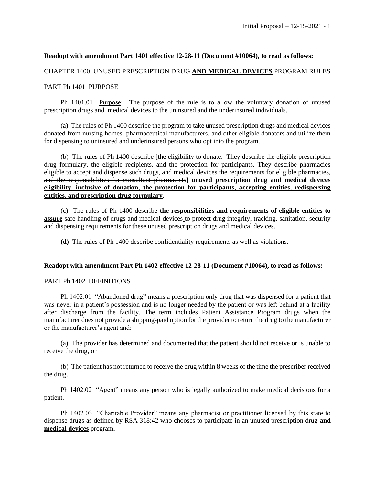### **Readopt with amendment Part 1401 effective 12-28-11 (Document #10064), to read as follows:**

#### CHAPTER 1400 UNUSED PRESCRIPTION DRUG **AND MEDICAL DEVICES** PROGRAM RULES

#### PART Ph 1401 PURPOSE

Ph 1401.01 Purpose: The purpose of the rule is to allow the voluntary donation of unused prescription drugs and medical devices to the uninsured and the underinsured individuals.

(a) The rules of Ph 1400 describe the program to take unused prescription drugs and medical devices donated from nursing homes, pharmaceutical manufacturers, and other eligible donators and utilize them for dispensing to uninsured and underinsured persons who opt into the program.

(b) The rules of Ph 1400 describe [the eligibility to donate. They describe the eligible prescription drug formulary, the eligible recipients, and the protection for participants. They describe pharmacies eligible to accept and dispense such drugs, and medical devices the requirements for eligible pharmacies, and the responsibilities for consultant pharmacists**] unused prescription drug and medical devices eligibility, inclusive of donation, the protection for participants, accepting entities, redispersing entities, and prescription drug formulary**.

(c) The rules of Ph 1400 describe **the responsibilities and requirements of eligible entities to assure** safe handling of drugs and medical devices to protect drug integrity, tracking, sanitation, security and dispensing requirements for these unused prescription drugs and medical devices.

**(d)** The rules of Ph 1400 describe confidentiality requirements as well as violations.

#### **Readopt with amendment Part Ph 1402 effective 12-28-11 (Document #10064), to read as follows:**

#### PART Ph 1402 DEFINITIONS

Ph 1402.01 "Abandoned drug" means a prescription only drug that was dispensed for a patient that was never in a patient's possession and is no longer needed by the patient or was left behind at a facility after discharge from the facility. The term includes Patient Assistance Program drugs when the manufacturer does not provide a shipping-paid option for the provider to return the drug to the manufacturer or the manufacturer's agent and:

(a) The provider has determined and documented that the patient should not receive or is unable to receive the drug, or

(b) The patient has not returned to receive the drug within 8 weeks of the time the prescriber received the drug.

Ph 1402.02 "Agent" means any person who is legally authorized to make medical decisions for a patient.

Ph 1402.03 "Charitable Provider" means any pharmacist or practitioner licensed by this state to dispense drugs as defined by RSA 318:42 who chooses to participate in an unused prescription drug **and medical devices** program**.**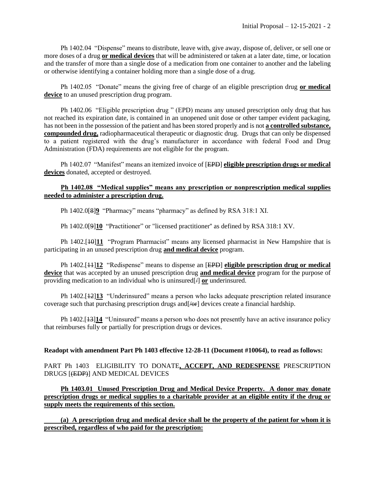Ph 1402.04 "Dispense" means to distribute, leave with, give away, dispose of, deliver, or sell one or more doses of a drug **or medical devices** that will be administered or taken at a later date, time, or location and the transfer of more than a single dose of a medication from one container to another and the labeling or otherwise identifying a container holding more than a single dose of a drug.

Ph 1402.05 "Donate" means the giving free of charge of an eligible prescription drug **or medical device** to an unused prescription drug program.

Ph 1402.06 "Eligible prescription drug " (EPD) means any unused prescription only drug that has not reached its expiration date, is contained in an unopened unit dose or other tamper evident packaging, has not been in the possession of the patient and has been stored properly and is not **a controlled substance, compounded drug,** radiopharmaceutical therapeutic or diagnostic drug. Drugs that can only be dispensed to a patient registered with the drug's manufacturer in accordance with federal Food and Drug Administration (FDA) requirements are not eligible for the program.

Ph 1402.07 "Manifest" means an itemized invoice of [EPD] **eligible prescription drugs or medical devices** donated, accepted or destroyed.

## **Ph 1402.08 "Medical supplies" means any prescription or nonprescription medical supplies needed to administer a prescription drug.**

Ph 1402.0[8]**9** "Pharmacy" means "pharmacy" as defined by RSA 318:1 XI.

Ph 1402.0[9]**10** "Practitioner" or "licensed practitioner'' as defined by RSA 318:1 XV.

Ph 1402.<sup>[40]</sup> 11 "Program Pharmacist" means any licensed pharmacist in New Hampshire that is participating in an unused prescription drug **and medical device** program.

Ph 1402.[11]**12** "Redispense" means to dispense an [EPD] **eligible prescription drug or medical device** that was accepted by an unused prescription drug **and medical device** program for the purpose of providing medication to an individual who is uninsured[/] **or** underinsured.

Ph 1402.[12]**13** "Underinsured" means a person who lacks adequate prescription related insurance coverage such that purchasing prescription drugs and  $[Ar]$  devices create a financial hardship.

Ph 1402.[13]**14** "Uninsured" means a person who does not presently have an active insurance policy that reimburses fully or partially for prescription drugs or devices.

#### **Readopt with amendment Part Ph 1403 effective 12-28-11 (Document #10064), to read as follows:**

PART Ph 1403 ELIGIBILITY TO DONATE**, ACCEPT, AND REDESPENSE** PRESCRIPTION DRUGS [(EDP)] AND MEDICAL DEVICES

**Ph 1403.01 Unused Prescription Drug and Medical Device Property. A donor may donate prescription drugs or medical supplies to a charitable provider at an eligible entity if the drug or supply meets the requirements of this section.**

**(a) A prescription drug and medical device shall be the property of the patient for whom it is prescribed, regardless of who paid for the prescription:**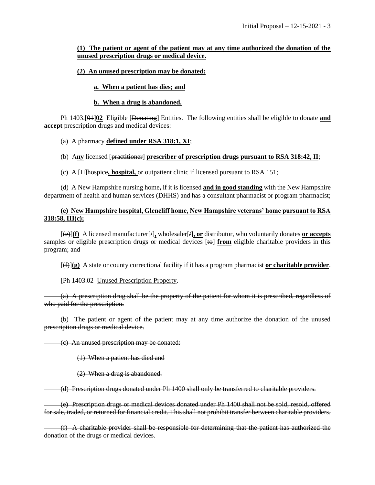## **(1) The patient or agent of the patient may at any time authorized the donation of the unused prescription drugs or medical device.**

# **(2) An unused prescription may be donated:**

# **a. When a patient has dies; and**

## **b. When a drug is abandoned.**

Ph 1403.[01]**02** Eligible [Donating] Entities. The following entities shall be eligible to donate **and accept** prescription drugs and medical devices:

# (a) A pharmacy **defined under RSA 318:1, XI**;

# (b) A**ny** licensed [practitioner] **prescriber of prescription drugs pursuant to RSA 318:42, II**;

(c) A [H]hospice**, hospital,** or outpatient clinic if licensed pursuant to RSA 151;

(d) A New Hampshire nursing home**,** if it is licensed **and in good standing** with the New Hampshire department of health and human services (DHHS) and has a consultant pharmacist or program pharmacist;

# **(e) New Hampshire hospital, Glencliff home, New Hampshire veterans' home pursuant to RSA 318:58, III(c);**

 $[\langle e \rangle](\mathbf{f})$  A licensed manufacturer $[\neq]$ , wholesaler $[\neq]$ , or distributor, who voluntarily donates or accepts samples or eligible prescription drugs or medical devices [to] **from** eligible charitable providers in this program; and

[(f)]**(g)** A state or county correctional facility if it has a program pharmacist **or charitable provider**.

## [Ph 1403.02 Unused Prescription Property.

(a) A prescription drug shall be the property of the patient for whom it is prescribed, regardless of who paid for the prescription.

(b) The patient or agent of the patient may at any time authorize the donation of the unused prescription drugs or medical device.

(c) An unused prescription may be donated:

(1) When a patient has died and

(2) When a drug is abandoned.

(d) Prescription drugs donated under Ph 1400 shall only be transferred to charitable providers.

(e**)** Prescription drugs or medical devices donated under Ph 1400 shall not be sold, resold, offered for sale, traded, or returned for financial credit. This shall not prohibit transfer between charitable providers.

(f) A charitable provider shall be responsible for determining that the patient has authorized the donation of the drugs or medical devices.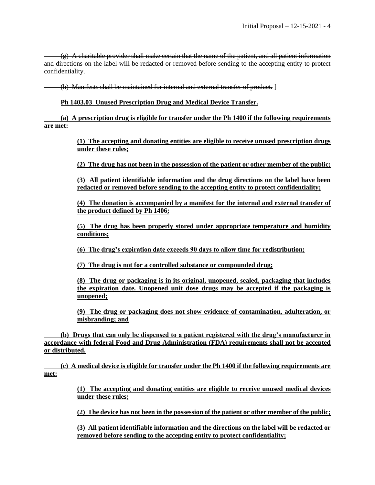$(g)$  A charitable provider shall make certain that the name of the patient, and all patient information and directions on the label will be redacted or removed before sending to the accepting entity to protect confidentiality.

(h) Manifests shall be maintained for internal and external transfer of product. ]

**Ph 1403.03 Unused Prescription Drug and Medical Device Transfer.**

**(a) A prescription drug is eligible for transfer under the Ph 1400 if the following requirements are met:**

> **(1) The accepting and donating entities are eligible to receive unused prescription drugs under these rules;**

> **(2) The drug has not been in the possession of the patient or other member of the public;**

**(3) All patient identifiable information and the drug directions on the label have been redacted or removed before sending to the accepting entity to protect confidentiality;**

**(4) The donation is accompanied by a manifest for the internal and external transfer of the product defined by Ph 1406;** 

**(5) The drug has been properly stored under appropriate temperature and humidity conditions;**

**(6) The drug's expiration date exceeds 90 days to allow time for redistribution;**

**(7) The drug is not for a controlled substance or compounded drug;**

**(8) The drug or packaging is in its original, unopened, sealed, packaging that includes the expiration date. Unopened unit dose drugs may be accepted if the packaging is unopened;** 

**(9) The drug or packaging does not show evidence of contamination, adulteration, or misbranding; and**

**(b) Drugs that can only be dispensed to a patient registered with the drug's manufacturer in accordance with federal Food and Drug Administration (FDA) requirements shall not be accepted or distributed.**

**(c) A medical device is eligible for transfer under the Ph 1400 if the following requirements are met:**

> **(1) The accepting and donating entities are eligible to receive unused medical devices under these rules;**

> **(2) The device has not been in the possession of the patient or other member of the public;**

**(3) All patient identifiable information and the directions on the label will be redacted or removed before sending to the accepting entity to protect confidentiality;**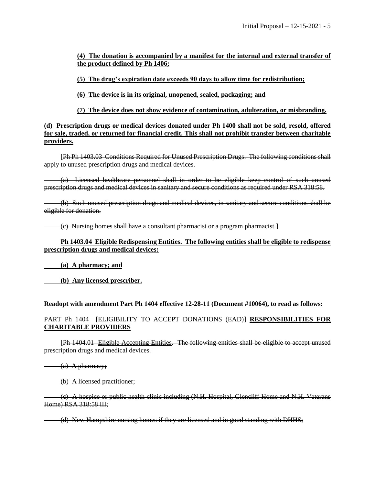**(4) The donation is accompanied by a manifest for the internal and external transfer of the product defined by Ph 1406;**

**(5) The drug's expiration date exceeds 90 days to allow time for redistribution;**

**(6) The device is in its original, unopened, sealed, packaging; and**

**(7) The device does not show evidence of contamination, adulteration, or misbranding.**

**(d) Prescription drugs or medical devices donated under Ph 1400 shall not be sold, resold, offered for sale, traded, or returned for financial credit. This shall not prohibit transfer between charitable providers.**

[Ph Ph 1403.03 Conditions Required for Unused Prescription Drugs. The following conditions shall apply to unused prescription drugs and medical devices.

(a) Licensed healthcare personnel shall in order to be eligible keep control of such unused prescription drugs and medical devices in sanitary and secure conditions as required under RSA 318:58.

(b) Such unused prescription drugs and medical devices, in sanitary and secure conditions shall be eligible for donation.

(c) Nursing homes shall have a consultant pharmacist or a program pharmacist.]

## **Ph 1403.04 Eligible Redispensing Entities. The following entities shall be eligible to redispense prescription drugs and medical devices:**

**(a) A pharmacy; and**

**(b) Any licensed prescriber.**

**Readopt with amendment Part Ph 1404 effective 12-28-11 (Document #10064), to read as follows:**

## PART Ph 1404 [ELIGIBILITY TO ACCEPT DONATIONS (EAD)] **RESPONSIBILITIES FOR CHARITABLE PROVIDERS**

[Ph 1404.01 Eligible Accepting Entities. The following entities shall be eligible to accept unused prescription drugs and medical devices.

 $(a)$  A pharmacy;

(b) A licensed practitioner;

(c) A hospice or public health clinic including (N.H. Hospital, Glencliff Home and N.H. Veterans Home) RSA 318:58 III;

(d) New Hampshire nursing homes if they are licensed and in good standing with DHHS;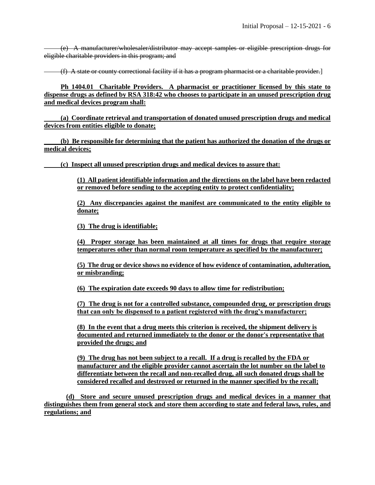(e) A manufacturer/wholesaler/distributor may accept samples or eligible prescription drugs for eligible charitable providers in this program; and

(f) A state or county correctional facility if it has a program pharmacist or a charitable provider.]

**Ph 1404.01 Charitable Providers. A pharmacist or practitioner licensed by this state to dispense drugs as defined by RSA 318:42 who chooses to participate in an unused prescription drug and medical devices program shall:**

**(a) Coordinate retrieval and transportation of donated unused prescription drugs and medical devices from entities eligible to donate;**

**(b) Be responsible for determining that the patient has authorized the donation of the drugs or medical devices;**

**(c) Inspect all unused prescription drugs and medical devices to assure that:**

**(1) All patient identifiable information and the directions on the label have been redacted or removed before sending to the accepting entity to protect confidentiality;**

**(2) Any discrepancies against the manifest are communicated to the entity eligible to donate;**

**(3) The drug is identifiable;**

**(4) Proper storage has been maintained at all times for drugs that require storage temperatures other than normal room temperature as specified by the manufacturer;**

**(5) The drug or device shows no evidence of how evidence of contamination, adulteration, or misbranding;**

**(6) The expiration date exceeds 90 days to allow time for redistribution;**

**(7) The drug is not for a controlled substance, compounded drug, or prescription drugs that can only be dispensed to a patient registered with the drug's manufacturer;**

**(8) In the event that a drug meets this criterion is received, the shipment delivery is documented and returned immediately to the donor or the donor's representative that provided the drugs; and**

**(9) The drug has not been subject to a recall. If a drug is recalled by the FDA or manufacturer and the eligible provider cannot ascertain the lot number on the label to differentiate between the recall and non-recalled drug, all such donated drugs shall be considered recalled and destroyed or returned in the manner specified by the recall;**

**(d) Store and secure unused prescription drugs and medical devices in a manner that distinguishes them from general stock and store them according to state and federal laws, rules, and regulations; and**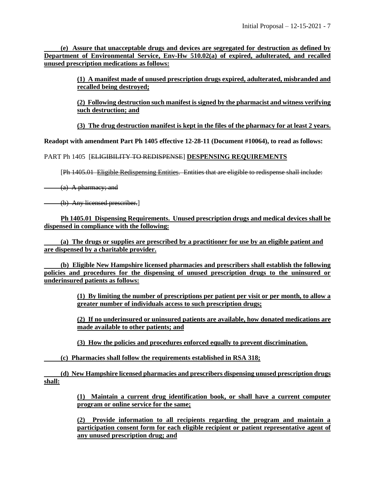**(e) Assure that unacceptable drugs and devices are segregated for destruction as defined by Department of Environmental Service, Env-Hw 510.02(a) of expired, adulterated, and recalled unused prescription medications as follows:**

> **(1) A manifest made of unused prescription drugs expired, adulterated, misbranded and recalled being destroyed;**

> **(2) Following destruction such manifest is signed by the pharmacist and witness verifying such destruction; and**

> **(3) The drug destruction manifest is kept in the files of the pharmacy for at least 2 years.**

**Readopt with amendment Part Ph 1405 effective 12-28-11 (Document #10064), to read as follows:**

PART Ph 1405 [ELIGIBILITY TO REDISPENSE] **DESPENSING REQUIREMENTS**

[Ph 1405.01 Eligible Redispensing Entities. Entities that are eligible to redispense shall include:

(a) A pharmacy; and

(b) Any licensed prescriber.

**Ph 1405.01 Dispensing Requirements. Unused prescription drugs and medical devices shall be dispensed in compliance with the following:**

**(a) The drugs or supplies are prescribed by a practitioner for use by an eligible patient and are dispensed by a charitable provider.**

**(b) Eligible New Hampshire licensed pharmacies and prescribers shall establish the following policies and procedures for the dispensing of unused prescription drugs to the uninsured or underinsured patients as follows:**

> **(1) By limiting the number of prescriptions per patient per visit or per month, to allow a greater number of individuals access to such prescription drugs;**

> **(2) If no underinsured or uninsured patients are available, how donated medications are made available to other patients; and**

**(3) How the policies and procedures enforced equally to prevent discrimination.**

**(c) Pharmacies shall follow the requirements established in RSA 318;**

**(d) New Hampshire licensed pharmacies and prescribers dispensing unused prescription drugs shall:**

> **(1) Maintain a current drug identification book, or shall have a current computer program or online service for the same;**

> **(2) Provide information to all recipients regarding the program and maintain a participation consent form for each eligible recipient or patient representative agent of any unused prescription drug; and**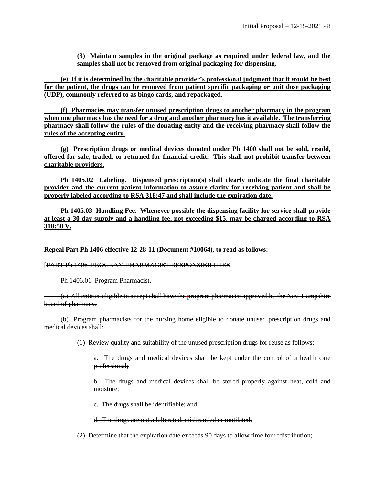**(3) Maintain samples in the original package as required under federal law, and the samples shall not be removed from original packaging for dispensing.**

**(e) If it is determined by the charitable provider's professional judgment that it would be best for the patient, the drugs can be removed from patient specific packaging or unit dose packaging (UDP), commonly referred to as bingo cards, and repackaged.**

**(f) Pharmacies may transfer unused prescription drugs to another pharmacy in the program when one pharmacy has the need for a drug and another pharmacy has it available. The transferring pharmacy shall follow the rules of the donating entity and the receiving pharmacy shall follow the rules of the accepting entity.**

**(g) Prescription drugs or medical devices donated under Ph 1400 shall not be sold, resold, offered for sale, traded, or returned for financial credit. This shall not prohibit transfer between charitable providers.**

**Ph 1405.02 Labeling. Dispensed prescription(s) shall clearly indicate the final charitable provider and the current patient information to assure clarity for receiving patient and shall be properly labeled according to RSA 318:47 and shall include the expiration date.**

**Ph 1405.03 Handling Fee. Whenever possible the dispensing facility for service shall provide at least a 30 day supply and a handling fee, not exceeding \$15, may be charged according to RSA 318:58 V.**

**Repeal Part Ph 1406 effective 12-28-11 (Document #10064), to read as follows:**

[PART Ph 1406 PROGRAM PHARMACIST RESPONSIBILITIES

**Ph 1406.01 Program Pharmacist.** 

(a) All entities eligible to accept shall have the program pharmacist approved by the New Hampshire board of pharmacy.

(b) Program pharmacists for the nursing home eligible to donate unused prescription drugs and medical devices shall:

(1) Review quality and suitability of the unused prescription drugs for reuse as follows:

a. The drugs and medical devices shall be kept under the control of a health care professional;

b. The drugs and medical devices shall be stored properly against heat, cold and moisture;

c. The drugs shall be identifiable; and

d. The drugs are not adulterated, misbranded or mutilated.

(2) Determine that the expiration date exceeds 90 days to allow time for redistribution;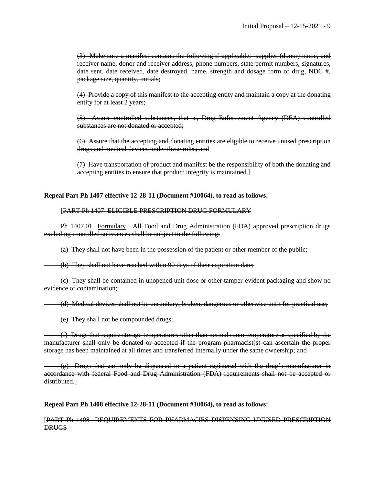(3) Make sure a manifest contains the following if applicable: supplier (donor) name, and receiver name, donor and receiver address, phone numbers, state permit numbers, signatures, date sent, date received, date destroyed, name, strength and dosage form of drug, NDC #, package size, quantity, initials;

(4) Provide a copy of this manifest to the accepting entity and maintain a copy at the donating entity for at least 2 years;

(5) Assure controlled substances, that is, Drug Enforcement Agency (DEA) controlled substances are not donated or accepted;

(6) Assure that the accepting and donating entities are eligible to receive unused prescription drugs and medical devices under these rules; and

(7) Have transportation of product and manifest be the responsibility of both the donating and accepting entities to ensure that product integrity is maintained.]

#### **Repeal Part Ph 1407 effective 12-28-11 (Document #10064), to read as follows:**

#### [PART Ph 1407 ELIGIBLE PRESCRIPTION DRUG FORMULARY

Ph 1407.01 Formulary. All Food and Drug Administration (FDA) approved prescription drugs excluding controlled substances shall be subject to the following:

(a) They shall not have been in the possession of the patient or other member of the public;

(b) They shall not have reached within 90 days of their expiration date;

(c) They shall be contained in unopened unit dose or other tamper-evident packaging and show no evidence of contamination;

(d) Medical devices shall not be unsanitary, broken, dangerous or otherwise unfit for practical use;

(e) They shall not be compounded drugs;

(f) Drugs that require storage temperatures other than normal room temperature as specified by the manufacturer shall only be donated or accepted if the program pharmacist(s) can ascertain the proper storage has been maintained at all times and transferred internally under the same ownership; and

 $(g)$  Drugs that can only be dispensed to a patient registered with the drug's manufacturer in accordance with federal Food and Drug Administration (FDA) requirements shall not be accepted or distributed.]

**Repeal Part Ph 1408 effective 12-28-11 (Document #10064), to read as follows:**

[PART Ph 1408 REQUIREMENTS FOR PHARMACIES DISPENSING UNUSED PRESCRIPTION **DRUGS**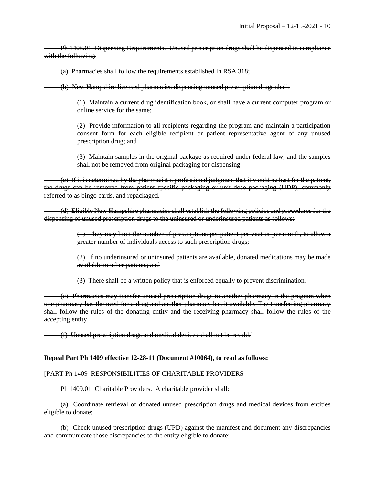Ph 1408.01 Dispensing Requirements. Unused prescription drugs shall be dispensed in compliance with the following:

(a) Pharmacies shall follow the requirements established in RSA 318;

(b) New Hampshire licensed pharmacies dispensing unused prescription drugs shall:

(1) Maintain a current drug identification book, or shall have a current computer program or online service for the same;

(2) Provide information to all recipients regarding the program and maintain a participation consent form for each eligible recipient or patient representative agent of any unused prescription drug; and

(3) Maintain samples in the original package as required under federal law, and the samples shall not be removed from original packaging for dispensing.

(c) If it is determined by the pharmacist's professional judgment that it would be best for the patient, the drugs can be removed from patient specific packaging or unit dose packaging (UDP), commonly referred to as bingo cards, and repackaged.

(d) Eligible New Hampshire pharmacies shall establish the following policies and procedures for the dispensing of unused prescription drugs to the uninsured or underinsured patients as follows:

> (1) They may limit the number of prescriptions per patient per visit or per month, to allow a greater number of individuals access to such prescription drugs;

> (2) If no underinsured or uninsured patients are available, donated medications may be made available to other patients; and

(3) There shall be a written policy that is enforced equally to prevent discrimination.

(e) Pharmacies may transfer unused prescription drugs to another pharmacy in the program when one pharmacy has the need for a drug and another pharmacy has it available. The transferring pharmacy shall follow the rules of the donating entity and the receiving pharmacy shall follow the rules of the accepting entity.

(f) Unused prescription drugs and medical devices shall not be resold.]

#### **Repeal Part Ph 1409 effective 12-28-11 (Document #10064), to read as follows:**

#### [PART Ph 1409 RESPONSIBILITIES OF CHARITABLE PROVIDERS

Ph 1409.01 Charitable Providers. A charitable provider shall:

(a) Coordinate retrieval of donated unused prescription drugs and medical devices from entities eligible to donate;

(b) Check unused prescription drugs (UPD) against the manifest and document any discrepancies and communicate those discrepancies to the entity eligible to donate;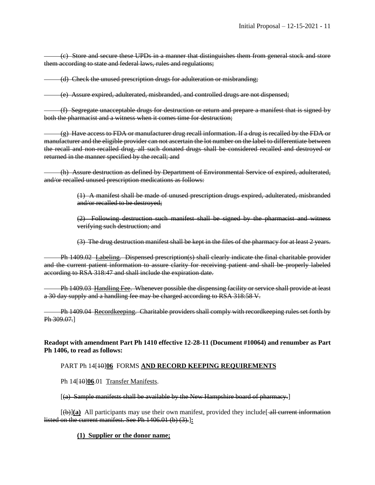(c) Store and secure these UPDs in a manner that distinguishes them from general stock and store them according to state and federal laws, rules and regulations;

(d) Check the unused prescription drugs for adulteration or misbranding;

(e) Assure expired, adulterated, misbranded, and controlled drugs are not dispensed;

(f) Segregate unacceptable drugs for destruction or return and prepare a manifest that is signed by both the pharmacist and a witness when it comes time for destruction;

 $(g)$  Have access to FDA or manufacturer drug recall information. If a drug is recalled by the FDA or manufacturer and the eligible provider can not ascertain the lot number on the label to differentiate between the recall and non-recalled drug, all such donated drugs shall be considered recalled and destroyed or returned in the manner specified by the recall; and

(h) Assure destruction as defined by Department of Environmental Service of expired, adulterated, and/or recalled unused prescription medications as follows:

> (1) A manifest shall be made of unused prescription drugs expired, adulterated, misbranded and/or recalled to be destroyed;

> (2) Following destruction such manifest shall be signed by the pharmacist and witness verifying such destruction; and

> (3) The drug destruction manifest shall be kept in the files of the pharmacy for at least 2 years.

Ph 1409.02 Labeling. Dispensed prescription(s) shall clearly indicate the final charitable provider and the current patient information to assure clarity for receiving patient and shall be properly labeled according to RSA 318:47 and shall include the expiration date.

Ph 1409.03 Handling Fee. Whenever possible the dispensing facility or service shall provide at least a 30 day supply and a handling fee may be charged according to RSA 318:58 V.

Ph 1409.04 Recordkeeping. Charitable providers shall comply with recordkeeping rules set forth by Ph 309.07.]

**Readopt with amendment Part Ph 1410 effective 12-28-11 (Document #10064) and renumber as Part Ph 1406, to read as follows:**

## PART Ph 14[10]**06** FORMS **AND RECORD KEEPING REQUIREMENTS**

Ph 14<sup>[10]</sup><sub>06.01</sub> Transfer Manifests.

[(a) Sample manifests shall be available by the New Hampshire board of pharmacy.]

 $[\phi(x)]$  (a) All participants may use their own manifest, provided they include [ $\phi$ ] all current information listed on the current manifest. See Ph 1406.01 (b) (3).]**:**

#### **(1) Supplier or the donor name;**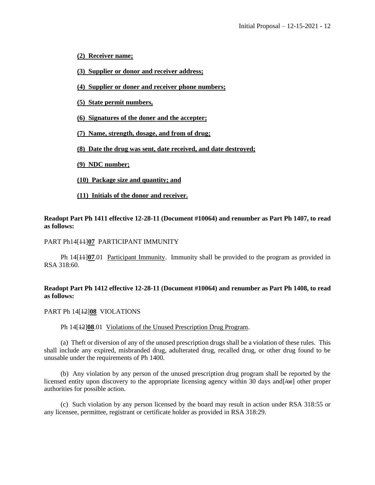- **(2) Receiver name;**
- **(3) Supplier or donor and receiver address;**
- **(4) Supplier or doner and receiver phone numbers;**
- **(5) State permit numbers,**
- **(6) Signatures of the doner and the accepter;**
- **(7) Name, strength, dosage, and from of drug;**
- **(8) Date the drug was sent, date received, and date destroyed;**
- **(9) NDC number;**
- **(10) Package size and quantity; and**
- **(11) Initials of the donor and receiver.**

**Readopt Part Ph 1411 effective 12-28-11 (Document #10064) and renumber as Part Ph 1407, to read as follows:**

#### PART Ph14[11]**07** PARTICIPANT IMMUNITY

Ph 14[11]**07**.01 Participant Immunity. Immunity shall be provided to the program as provided in RSA 318:60.

## **Readopt Part Ph 1412 effective 12-28-11 (Document #10064) and renumber as Part Ph 1408, to read as follows:**

#### PART Ph 14[12]**08** VIOLATIONS

#### Ph 14[12]**08**.01 Violations of the Unused Prescription Drug Program.

(a) Theft or diversion of any of the unused prescription drugs shall be a violation of these rules. This shall include any expired, misbranded drug, adulterated drug, recalled drug, or other drug found to be unusable under the requirements of Ph 1400.

(b) Any violation by any person of the unused prescription drug program shall be reported by the licensed entity upon discovery to the appropriate licensing agency within 30 days and [ $\sqrt{\theta}$ ] other proper authorities for possible action.

(c) Such violation by any person licensed by the board may result in action under RSA 318:55 or any licensee, permittee, registrant or certificate holder as provided in RSA 318:29.